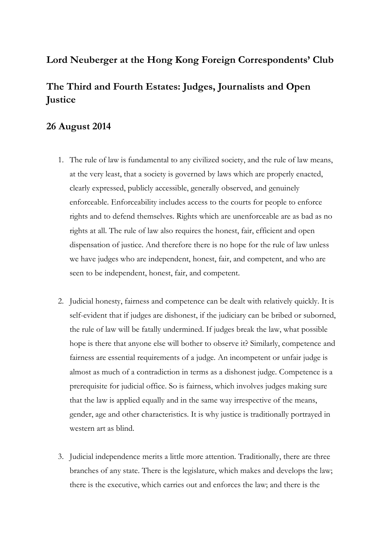## **Lord Neuberger at the Hong Kong Foreign Correspondents' Club**

## **The Third and Fourth Estates: Judges, Journalists and Open Justice**

## **26 August 2014**

- 1. The rule of law is fundamental to any civilized society, and the rule of law means, at the very least, that a society is governed by laws which are properly enacted, clearly expressed, publicly accessible, generally observed, and genuinely enforceable. Enforceability includes access to the courts for people to enforce rights and to defend themselves. Rights which are unenforceable are as bad as no rights at all. The rule of law also requires the honest, fair, efficient and open dispensation of justice. And therefore there is no hope for the rule of law unless we have judges who are independent, honest, fair, and competent, and who are seen to be independent, honest, fair, and competent.
- 2. Judicial honesty, fairness and competence can be dealt with relatively quickly. It is self-evident that if judges are dishonest, if the judiciary can be bribed or suborned, the rule of law will be fatally undermined. If judges break the law, what possible hope is there that anyone else will bother to observe it? Similarly, competence and fairness are essential requirements of a judge. An incompetent or unfair judge is almost as much of a contradiction in terms as a dishonest judge. Competence is a prerequisite for judicial office. So is fairness, which involves judges making sure that the law is applied equally and in the same way irrespective of the means, gender, age and other characteristics. It is why justice is traditionally portrayed in western art as blind.
- 3. Judicial independence merits a little more attention. Traditionally, there are three branches of any state. There is the legislature, which makes and develops the law; there is the executive, which carries out and enforces the law; and there is the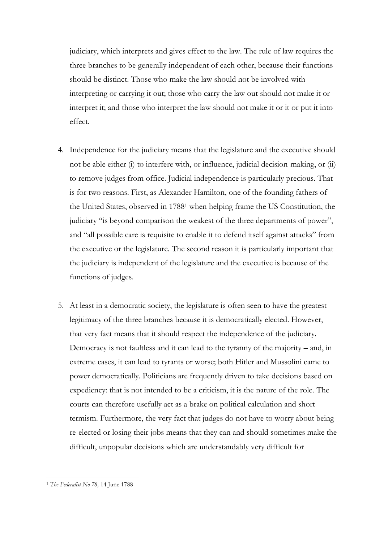judiciary, which interprets and gives effect to the law. The rule of law requires the three branches to be generally independent of each other, because their functions should be distinct. Those who make the law should not be involved with interpreting or carrying it out; those who carry the law out should not make it or interpret it; and those who interpret the law should not make it or it or put it into effect.

- 4. Independence for the judiciary means that the legislature and the executive should not be able either (i) to interfere with, or influence, judicial decision-making, or (ii) to remove judges from office. Judicial independence is particularly precious. That is for two reasons. First, as Alexander Hamilton, one of the founding fathers of the United States, observed in 1788<sup>1</sup> when helping frame the US Constitution, the judiciary "is beyond comparison the weakest of the three departments of power", and "all possible care is requisite to enable it to defend itself against attacks" from the executive or the legislature. The second reason it is particularly important that the judiciary is independent of the legislature and the executive is because of the functions of judges.
- 5. At least in a democratic society, the legislature is often seen to have the greatest legitimacy of the three branches because it is democratically elected. However, that very fact means that it should respect the independence of the judiciary. Democracy is not faultless and it can lead to the tyranny of the majority – and, in extreme cases, it can lead to tyrants or worse; both Hitler and Mussolini came to power democratically. Politicians are frequently driven to take decisions based on expediency: that is not intended to be a criticism, it is the nature of the role. The courts can therefore usefully act as a brake on political calculation and short termism. Furthermore, the very fact that judges do not have to worry about being re-elected or losing their jobs means that they can and should sometimes make the difficult, unpopular decisions which are understandably very difficult for

<sup>1</sup> *The Federalist No 78,* 14 June 1788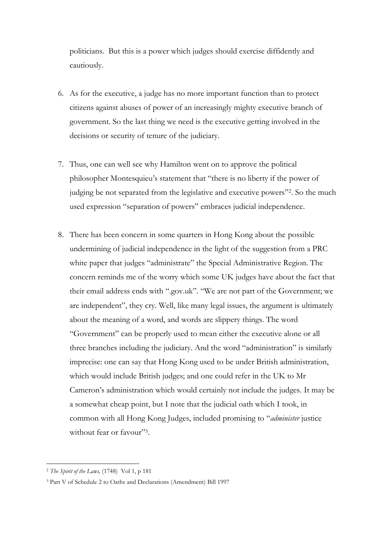politicians. But this is a power which judges should exercise diffidently and cautiously.

- 6. As for the executive, a judge has no more important function than to protect citizens against abuses of power of an increasingly mighty executive branch of government. So the last thing we need is the executive getting involved in the decisions or security of tenure of the judiciary.
- 7. Thus, one can well see why Hamilton went on to approve the political philosopher Montesquieu's statement that "there is no liberty if the power of judging be not separated from the legislative and executive powers"<sup>2</sup> . So the much used expression "separation of powers" embraces judicial independence.
- 8. There has been concern in some quarters in Hong Kong about the possible undermining of judicial independence in the light of the suggestion from a PRC white paper that judges "administrate" the Special Administrative Region. The concern reminds me of the worry which some UK judges have about the fact that their email address ends with ".gov.uk". "We are not part of the Government; we are independent", they cry. Well, like many legal issues, the argument is ultimately about the meaning of a word, and words are slippery things. The word "Government" can be properly used to mean either the executive alone or all three branches including the judiciary. And the word "administration" is similarly imprecise: one can say that Hong Kong used to be under British administration, which would include British judges; and one could refer in the UK to Mr Cameron's administration which would certainly not include the judges. It may be a somewhat cheap point, but I note that the judicial oath which I took, in common with all Hong Kong Judges, included promising to "*administer* justice without fear or favour"3.

<u>.</u>

<sup>2</sup> *The Spirit of the Laws,* (1748) Vol 1, p 181

<sup>3</sup> Part V of Schedule 2 to Oaths and Declarations (Amendment) Bill 1997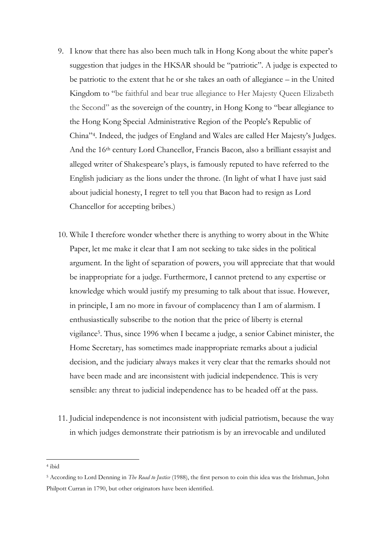- 9. I know that there has also been much talk in Hong Kong about the white paper's suggestion that judges in the HKSAR should be "patriotic". A judge is expected to be patriotic to the extent that he or she takes an oath of allegiance – in the United Kingdom to "be faithful and bear true allegiance to Her Majesty Queen Elizabeth the Second" as the sovereign of the country, in Hong Kong to "bear allegiance to the Hong Kong Special Administrative Region of the People's Republic of China" 4 . Indeed, the judges of England and Wales are called Her Majesty's Judges. And the 16th century Lord Chancellor, Francis Bacon, also a brilliant essayist and alleged writer of Shakespeare's plays, is famously reputed to have referred to the English judiciary as the lions under the throne. (In light of what I have just said about judicial honesty, I regret to tell you that Bacon had to resign as Lord Chancellor for accepting bribes.)
- 10. While I therefore wonder whether there is anything to worry about in the White Paper, let me make it clear that I am not seeking to take sides in the political argument. In the light of separation of powers, you will appreciate that that would be inappropriate for a judge. Furthermore, I cannot pretend to any expertise or knowledge which would justify my presuming to talk about that issue. However, in principle, I am no more in favour of complacency than I am of alarmism. I enthusiastically subscribe to the notion that the price of liberty is eternal vigilance<sup>5</sup> . Thus, since 1996 when I became a judge, a senior Cabinet minister, the Home Secretary, has sometimes made inappropriate remarks about a judicial decision, and the judiciary always makes it very clear that the remarks should not have been made and are inconsistent with judicial independence. This is very sensible: any threat to judicial independence has to be headed off at the pass.
- 11. Judicial independence is not inconsistent with judicial patriotism, because the way in which judges demonstrate their patriotism is by an irrevocable and undiluted

<sup>4</sup> ibid

<sup>5</sup> According to Lord Denning in *The Road to Justice* (1988), the first person to coin this idea was the Irishman, John Philpott Curran in 1790, but other originators have been identified.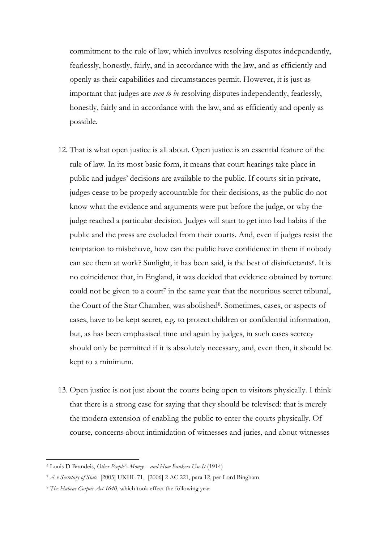commitment to the rule of law, which involves resolving disputes independently, fearlessly, honestly, fairly, and in accordance with the law, and as efficiently and openly as their capabilities and circumstances permit. However, it is just as important that judges are *seen to be* resolving disputes independently, fearlessly, honestly, fairly and in accordance with the law, and as efficiently and openly as possible.

- 12. That is what open justice is all about. Open justice is an essential feature of the rule of law. In its most basic form, it means that court hearings take place in public and judges' decisions are available to the public. If courts sit in private, judges cease to be properly accountable for their decisions, as the public do not know what the evidence and arguments were put before the judge, or why the judge reached a particular decision. Judges will start to get into bad habits if the public and the press are excluded from their courts. And, even if judges resist the temptation to misbehave, how can the public have confidence in them if nobody can see them at work? Sunlight, it has been said, is the best of disinfectants 6 . It is no coincidence that, in England, it was decided that evidence obtained by torture could not be given to a court<sup>7</sup> in the same year that the notorious secret tribunal, the Court of the Star Chamber, was abolished<sup>8</sup>. Sometimes, cases, or aspects of cases, have to be kept secret, e.g. to protect children or confidential information, but, as has been emphasised time and again by judges, in such cases secrecy should only be permitted if it is absolutely necessary, and, even then, it should be kept to a minimum.
- 13. Open justice is not just about the courts being open to visitors physically. I think that there is a strong case for saying that they should be televised: that is merely the modern extension of enabling the public to enter the courts physically. Of course, concerns about intimidation of witnesses and juries, and about witnesses

<sup>6</sup> Louis D Brandeis, *Other People's Money – and How Bankers Use It* (1914)

<sup>7</sup> *A v Secretary of State* [2005] UKHL 71, [2006] 2 AC 221, para 12, per Lord Bingham

<sup>8</sup> *The Habeas Corpus Act 1640*, which took effect the following year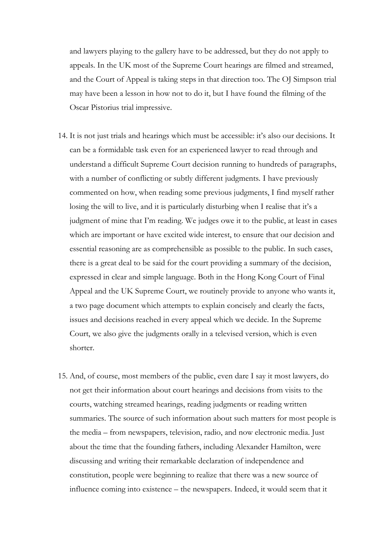and lawyers playing to the gallery have to be addressed, but they do not apply to appeals. In the UK most of the Supreme Court hearings are filmed and streamed, and the Court of Appeal is taking steps in that direction too. The OJ Simpson trial may have been a lesson in how not to do it, but I have found the filming of the Oscar Pistorius trial impressive.

- 14. It is not just trials and hearings which must be accessible: it's also our decisions. It can be a formidable task even for an experienced lawyer to read through and understand a difficult Supreme Court decision running to hundreds of paragraphs, with a number of conflicting or subtly different judgments. I have previously commented on how, when reading some previous judgments, I find myself rather losing the will to live, and it is particularly disturbing when I realise that it's a judgment of mine that I'm reading. We judges owe it to the public, at least in cases which are important or have excited wide interest, to ensure that our decision and essential reasoning are as comprehensible as possible to the public. In such cases, there is a great deal to be said for the court providing a summary of the decision, expressed in clear and simple language. Both in the Hong Kong Court of Final Appeal and the UK Supreme Court, we routinely provide to anyone who wants it, a two page document which attempts to explain concisely and clearly the facts, issues and decisions reached in every appeal which we decide. In the Supreme Court, we also give the judgments orally in a televised version, which is even shorter.
- 15. And, of course, most members of the public, even dare I say it most lawyers, do not get their information about court hearings and decisions from visits to the courts, watching streamed hearings, reading judgments or reading written summaries. The source of such information about such matters for most people is the media – from newspapers, television, radio, and now electronic media. Just about the time that the founding fathers, including Alexander Hamilton, were discussing and writing their remarkable declaration of independence and constitution, people were beginning to realize that there was a new source of influence coming into existence – the newspapers. Indeed, it would seem that it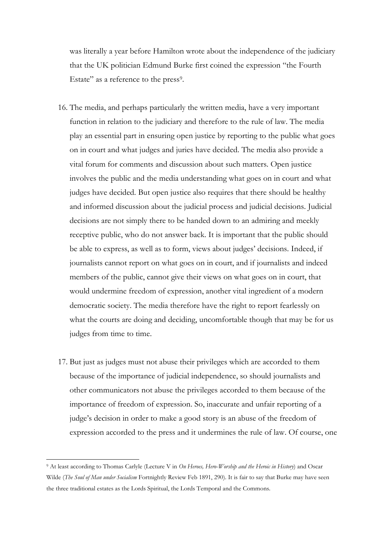was literally a year before Hamilton wrote about the independence of the judiciary that the UK politician Edmund Burke first coined the expression "the Fourth Estate" as a reference to the press<sup>9</sup>.

- 16. The media, and perhaps particularly the written media, have a very important function in relation to the judiciary and therefore to the rule of law. The media play an essential part in ensuring open justice by reporting to the public what goes on in court and what judges and juries have decided. The media also provide a vital forum for comments and discussion about such matters. Open justice involves the public and the media understanding what goes on in court and what judges have decided. But open justice also requires that there should be healthy and informed discussion about the judicial process and judicial decisions. Judicial decisions are not simply there to be handed down to an admiring and meekly receptive public, who do not answer back. It is important that the public should be able to express, as well as to form, views about judges' decisions. Indeed, if journalists cannot report on what goes on in court, and if journalists and indeed members of the public, cannot give their views on what goes on in court, that would undermine freedom of expression, another vital ingredient of a modern democratic society. The media therefore have the right to report fearlessly on what the courts are doing and deciding, uncomfortable though that may be for us judges from time to time.
- 17. But just as judges must not abuse their privileges which are accorded to them because of the importance of judicial independence, so should journalists and other communicators not abuse the privileges accorded to them because of the importance of freedom of expression. So, inaccurate and unfair reporting of a judge's decision in order to make a good story is an abuse of the freedom of expression accorded to the press and it undermines the rule of law. Of course, one

<sup>9</sup> At least according to Thomas Carlyle (Lecture V in *On Heroes, Hero-Worship and the Heroic in History*) and Oscar Wilde (*The Soul of Man under Socialism* Fortnightly Review Feb 1891, 290). It is fair to say that Burke may have seen the three traditional estates as the Lords Spiritual, the Lords Temporal and the Commons.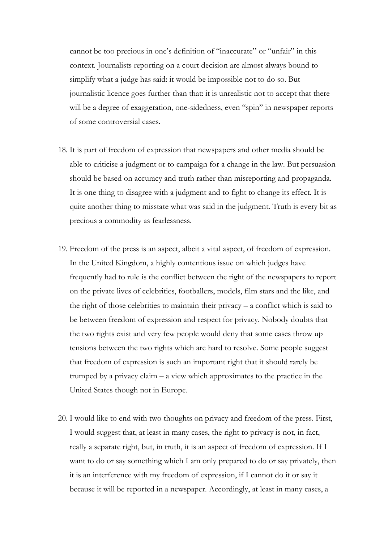cannot be too precious in one's definition of "inaccurate" or "unfair" in this context. Journalists reporting on a court decision are almost always bound to simplify what a judge has said: it would be impossible not to do so. But journalistic licence goes further than that: it is unrealistic not to accept that there will be a degree of exaggeration, one-sidedness, even "spin" in newspaper reports of some controversial cases.

- 18. It is part of freedom of expression that newspapers and other media should be able to criticise a judgment or to campaign for a change in the law. But persuasion should be based on accuracy and truth rather than misreporting and propaganda. It is one thing to disagree with a judgment and to fight to change its effect. It is quite another thing to misstate what was said in the judgment. Truth is every bit as precious a commodity as fearlessness.
- 19. Freedom of the press is an aspect, albeit a vital aspect, of freedom of expression. In the United Kingdom, a highly contentious issue on which judges have frequently had to rule is the conflict between the right of the newspapers to report on the private lives of celebrities, footballers, models, film stars and the like, and the right of those celebrities to maintain their privacy – a conflict which is said to be between freedom of expression and respect for privacy. Nobody doubts that the two rights exist and very few people would deny that some cases throw up tensions between the two rights which are hard to resolve. Some people suggest that freedom of expression is such an important right that it should rarely be trumped by a privacy claim – a view which approximates to the practice in the United States though not in Europe.
- 20. I would like to end with two thoughts on privacy and freedom of the press. First, I would suggest that, at least in many cases, the right to privacy is not, in fact, really a separate right, but, in truth, it is an aspect of freedom of expression. If I want to do or say something which I am only prepared to do or say privately, then it is an interference with my freedom of expression, if I cannot do it or say it because it will be reported in a newspaper. Accordingly, at least in many cases, a